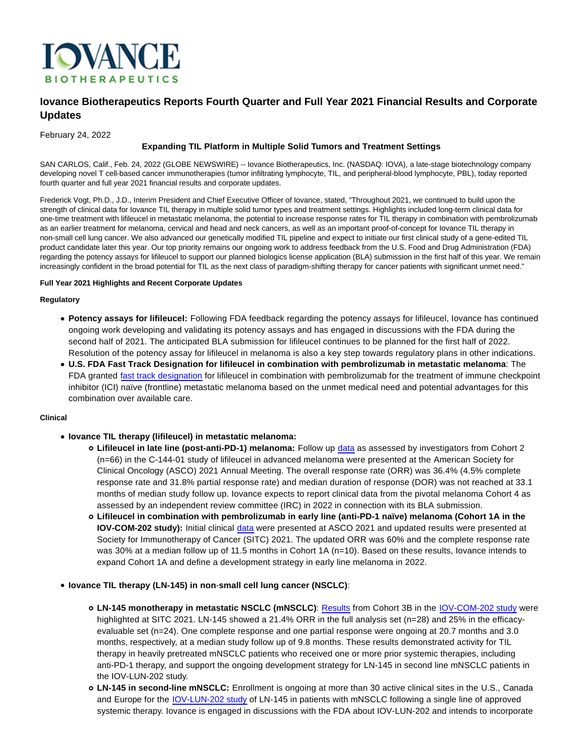

# **Iovance Biotherapeutics Reports Fourth Quarter and Full Year 2021 Financial Results and Corporate Updates**

February 24, 2022

# **Expanding TIL Platform in Multiple Solid Tumors and Treatment Settings**

SAN CARLOS, Calif., Feb. 24, 2022 (GLOBE NEWSWIRE) -- Iovance Biotherapeutics, Inc. (NASDAQ: IOVA), a late-stage biotechnology company developing novel T cell-based cancer immunotherapies (tumor infiltrating lymphocyte, TIL, and peripheral-blood lymphocyte, PBL), today reported fourth quarter and full year 2021 financial results and corporate updates.

Frederick Vogt, Ph.D., J.D., Interim President and Chief Executive Officer of Iovance, stated, "Throughout 2021, we continued to build upon the strength of clinical data for Iovance TIL therapy in multiple solid tumor types and treatment settings. Highlights included long-term clinical data for one-time treatment with lifileucel in metastatic melanoma, the potential to increase response rates for TIL therapy in combination with pembrolizumab as an earlier treatment for melanoma, cervical and head and neck cancers, as well as an important proof-of-concept for Iovance TIL therapy in non-small cell lung cancer. We also advanced our genetically modified TIL pipeline and expect to initiate our first clinical study of a gene-edited TIL product candidate later this year. Our top priority remains our ongoing work to address feedback from the U.S. Food and Drug Administration (FDA) regarding the potency assays for lifileucel to support our planned biologics license application (BLA) submission in the first half of this year. We remain increasingly confident in the broad potential for TIL as the next class of paradigm-shifting therapy for cancer patients with significant unmet need."

#### **Full Year 2021 Highlights and Recent Corporate Updates**

#### **Regulatory**

- **Potency assays for lifileucel:** Following FDA feedback regarding the potency assays for lifileucel, Iovance has continued ongoing work developing and validating its potency assays and has engaged in discussions with the FDA during the second half of 2021. The anticipated BLA submission for lifileucel continues to be planned for the first half of 2022. Resolution of the potency assay for lifileucel in melanoma is also a key step towards regulatory plans in other indications.
- **U.S. FDA Fast Track Designation for lifileucel in combination with pembrolizumab in metastatic melanoma**: The FDA granted [fast track designation f](https://www.fda.gov/patients/fast-track-breakthrough-therapy-accelerated-approval-priority-review/fast-track)or lifileucel in combination with pembrolizumab for the treatment of immune checkpoint inhibitor (ICI) naïve (frontline) metastatic melanoma based on the unmet medical need and potential advantages for this combination over available care.

#### **Clinical**

- **Iovance TIL therapy (lifileucel) in metastatic melanoma:**
	- **Lifileucel in late line (post-anti-PD-1) melanoma:** Follow up [data a](https://ir.iovance.com/news-releases/news-release-details/iovance-biotherapeutics-announces-33-month-follow-data)s assessed by investigators from Cohort 2 (n=66) in the C-144-01 study of lifileucel in advanced melanoma were presented at the American Society for Clinical Oncology (ASCO) 2021 Annual Meeting. The overall response rate (ORR) was 36.4% (4.5% complete response rate and 31.8% partial response rate) and median duration of response (DOR) was not reached at 33.1 months of median study follow up. Iovance expects to report clinical data from the pivotal melanoma Cohort 4 as assessed by an independent review committee (IRC) in 2022 in connection with its BLA submission.
	- **Lifileucel in combination with pembrolizumab in early line (anti-PD-1 naïve) melanoma (Cohort 1A in the IOV-COM-202 study):** Initial clinical [data w](https://ir.iovance.com/news-releases/news-release-details/iovance-biotherapeutics-announces-clinical-data-tumor)ere presented at ASCO 2021 and updated results were presented at Society for Immunotherapy of Cancer (SITC) 2021. The updated ORR was 60% and the complete response rate was 30% at a median follow up of 11.5 months in Cohort 1A (n=10). Based on these results, Iovance intends to expand Cohort 1A and define a development strategy in early line melanoma in 2022.
- **Iovance TIL therapy (LN-145) in non**-**small cell lung cancer (NSCLC)**:
	- **LN-145 monotherapy in metastatic NSCLC (mNSCLC)**: [Results f](https://ir.iovance.com/news-releases/news-release-details/iovance-biotherapeutics-announces-clinical-data-ln-145-non-0)rom Cohort 3B in the [IOV-COM-202 study w](https://www.iovance.com/clinical/immunotherapy-for-solid-tumors/)ere highlighted at SITC 2021. LN-145 showed a 21.4% ORR in the full analysis set (n=28) and 25% in the efficacyevaluable set (n=24). One complete response and one partial response were ongoing at 20.7 months and 3.0 months, respectively, at a median study follow up of 9.8 months. These results demonstrated activity for TIL therapy in heavily pretreated mNSCLC patients who received one or more prior systemic therapies, including anti-PD-1 therapy, and support the ongoing development strategy for LN-145 in second line mNSCLC patients in the IOV-LUN-202 study.
	- **LN-145 in second-line mNSCLC:** Enrollment is ongoing at more than 30 active clinical sites in the U.S., Canada and Europe for the [IOV-LUN-202 study o](https://www.iovance.com/clinical/iov-lun-202-non-small-cell-lung-cancer/)f LN-145 in patients with mNSCLC following a single line of approved systemic therapy. Iovance is engaged in discussions with the FDA about IOV-LUN-202 and intends to incorporate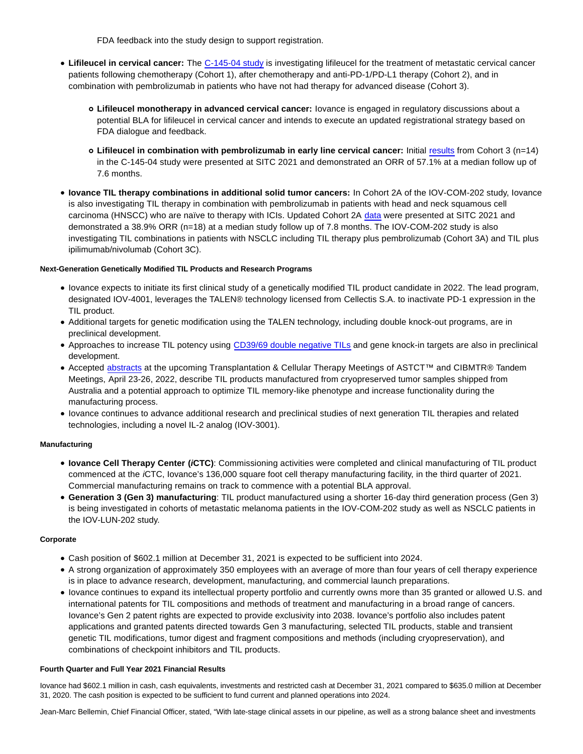FDA feedback into the study design to support registration.

- **Lifileucel in cervical cancer:** The [C-145-04 study i](https://www.iovance.com/clinical/c-145-04-cervical-carcinoma/)s investigating lifileucel for the treatment of metastatic cervical cancer patients following chemotherapy (Cohort 1), after chemotherapy and anti-PD-1/PD-L1 therapy (Cohort 2), and in combination with pembrolizumab in patients who have not had therapy for advanced disease (Cohort 3).
	- **Lifileucel monotherapy in advanced cervical cancer:** Iovance is engaged in regulatory discussions about a potential BLA for lifileucel in cervical cancer and intends to execute an updated registrational strategy based on FDA dialogue and feedback.
	- **Lifileucel in combination with pembrolizumab in early line cervical cancer:** Initial [results](https://ir.iovance.com/news-releases/news-release-details/iovance-biotherapeutics-announces-clinical-data-tumor) from Cohort 3 (n=14) in the C-145-04 study were presented at SITC 2021 and demonstrated an ORR of 57.1% at a median follow up of 7.6 months.
- **Iovance TIL therapy combinations in additional solid tumor cancers:** In Cohort 2A of the IOV-COM-202 study, Iovance is also investigating TIL therapy in combination with pembrolizumab in patients with head and neck squamous cell carcinoma (HNSCC) who are naïve to therapy with ICIs. Updated Cohort 2A [data w](https://ir.iovance.com/news-releases/news-release-details/iovance-biotherapeutics-announces-clinical-data-tumor)ere presented at SITC 2021 and demonstrated a 38.9% ORR (n=18) at a median study follow up of 7.8 months. The IOV-COM-202 study is also investigating TIL combinations in patients with NSCLC including TIL therapy plus pembrolizumab (Cohort 3A) and TIL plus ipilimumab/nivolumab (Cohort 3C).

## **Next-Generation Genetically Modified TIL Products and Research Programs**

- Iovance expects to initiate its first clinical study of a genetically modified TIL product candidate in 2022. The lead program, designated IOV-4001, leverages the TALEN® technology licensed from Cellectis S.A. to inactivate PD-1 expression in the TIL product.
- Additional targets for genetic modification using the TALEN technology, including double knock-out programs, are in preclinical development.
- Approaches to increase TIL potency using [CD39/69 double negative TILs a](https://www.iovance.com/our-science/publications/)nd gene knock-in targets are also in preclinical development.
- Accepted [abstracts a](https://www.iovance.com/our-science/publications/)t the upcoming Transplantation & Cellular Therapy Meetings of ASTCT™ and CIBMTR® Tandem Meetings, April 23-26, 2022, describe TIL products manufactured from cryopreserved tumor samples shipped from Australia and a potential approach to optimize TIL memory-like phenotype and increase functionality during the manufacturing process.
- Iovance continues to advance additional research and preclinical studies of next generation TIL therapies and related technologies, including a novel IL-2 analog (IOV-3001).

## **Manufacturing**

- **Iovance Cell Therapy Center (iCTC)**: Commissioning activities were completed and clinical manufacturing of TIL product commenced at the iCTC, Iovance's 136,000 square foot cell therapy manufacturing facility, in the third quarter of 2021. Commercial manufacturing remains on track to commence with a potential BLA approval.
- **Generation 3 (Gen 3) manufacturing**: TIL product manufactured using a shorter 16-day third generation process (Gen 3) is being investigated in cohorts of metastatic melanoma patients in the IOV-COM-202 study as well as NSCLC patients in the IOV-LUN-202 study.

## **Corporate**

- Cash position of \$602.1 million at December 31, 2021 is expected to be sufficient into 2024.
- A strong organization of approximately 350 employees with an average of more than four years of cell therapy experience is in place to advance research, development, manufacturing, and commercial launch preparations.
- Iovance continues to expand its intellectual property portfolio and currently owns more than 35 granted or allowed U.S. and international patents for TIL compositions and methods of treatment and manufacturing in a broad range of cancers. Iovance's Gen 2 patent rights are expected to provide exclusivity into 2038. Iovance's portfolio also includes patent applications and granted patents directed towards Gen 3 manufacturing, selected TIL products, stable and transient genetic TIL modifications, tumor digest and fragment compositions and methods (including cryopreservation), and combinations of checkpoint inhibitors and TIL products.

## **Fourth Quarter and Full Year 2021 Financial Results**

Iovance had \$602.1 million in cash, cash equivalents, investments and restricted cash at December 31, 2021 compared to \$635.0 million at December 31, 2020. The cash position is expected to be sufficient to fund current and planned operations into 2024.

Jean-Marc Bellemin, Chief Financial Officer, stated, "With late-stage clinical assets in our pipeline, as well as a strong balance sheet and investments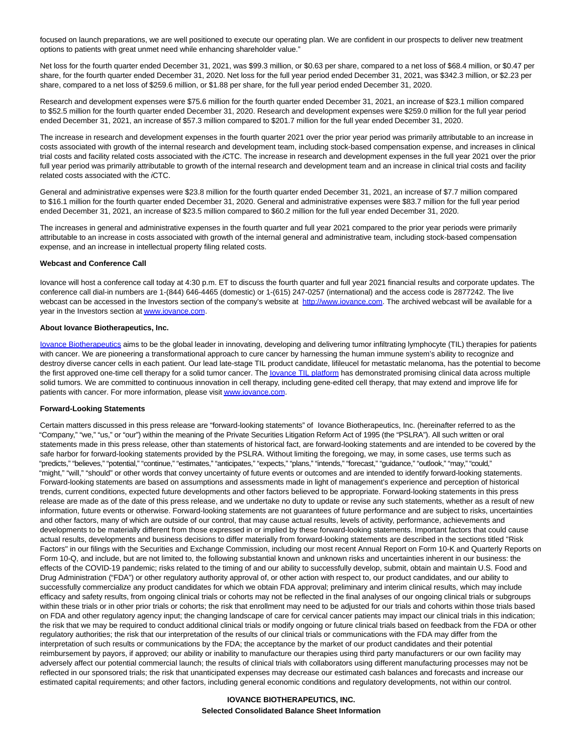focused on launch preparations, we are well positioned to execute our operating plan. We are confident in our prospects to deliver new treatment options to patients with great unmet need while enhancing shareholder value."

Net loss for the fourth quarter ended December 31, 2021, was \$99.3 million, or \$0.63 per share, compared to a net loss of \$68.4 million, or \$0.47 per share, for the fourth quarter ended December 31, 2020. Net loss for the full year period ended December 31, 2021, was \$342.3 million, or \$2.23 per share, compared to a net loss of \$259.6 million, or \$1.88 per share, for the full year period ended December 31, 2020.

Research and development expenses were \$75.6 million for the fourth quarter ended December 31, 2021, an increase of \$23.1 million compared to \$52.5 million for the fourth quarter ended December 31, 2020. Research and development expenses were \$259.0 million for the full year period ended December 31, 2021, an increase of \$57.3 million compared to \$201.7 million for the full year ended December 31, 2020.

The increase in research and development expenses in the fourth quarter 2021 over the prior year period was primarily attributable to an increase in costs associated with growth of the internal research and development team, including stock-based compensation expense, and increases in clinical trial costs and facility related costs associated with the *i*CTC. The increase in research and development expenses in the full year 2021 over the prior full year period was primarily attributable to growth of the internal research and development team and an increase in clinical trial costs and facility related costs associated with the iCTC.

General and administrative expenses were \$23.8 million for the fourth quarter ended December 31, 2021, an increase of \$7.7 million compared to \$16.1 million for the fourth quarter ended December 31, 2020. General and administrative expenses were \$83.7 million for the full year period ended December 31, 2021, an increase of \$23.5 million compared to \$60.2 million for the full year ended December 31, 2020.

The increases in general and administrative expenses in the fourth quarter and full year 2021 compared to the prior year periods were primarily attributable to an increase in costs associated with growth of the internal general and administrative team, including stock-based compensation expense, and an increase in intellectual property filing related costs.

#### **Webcast and Conference Call**

Iovance will host a conference call today at 4:30 p.m. ET to discuss the fourth quarter and full year 2021 financial results and corporate updates. The conference call dial-in numbers are 1-(844) 646-4465 (domestic) or 1-(615) 247-0257 (international) and the access code is 2877242. The live webcast can be accessed in the Investors section of the company's website at [http://www.iovance.com.](http://www.iovance.com/) The archived webcast will be available for a year in the Investors section a[t www.iovance.com.](http://www.iovance.com/)

#### **About Iovance Biotherapeutics, Inc.**

[Iovance Biotherapeutics a](https://www.iovance.com/)ims to be the global leader in innovating, developing and delivering tumor infiltrating lymphocyte (TIL) therapies for patients with cancer. We are pioneering a transformational approach to cure cancer by harnessing the human immune system's ability to recognize and destroy diverse cancer cells in each patient. Our lead late-stage TIL product candidate, lifileucel for metastatic melanoma, has the potential to become the first approved one-time cell therapy for a solid tumor cancer. The **lovance TIL platform** has demonstrated promising clinical data across multiple solid tumors. We are committed to continuous innovation in cell therapy, including gene-edited cell therapy, that may extend and improve life for patients with cancer. For more information, please visi[t www.iovance.com.](http://www.iovance.com/)

#### **Forward-Looking Statements**

Certain matters discussed in this press release are "forward-looking statements" of Iovance Biotherapeutics, Inc. (hereinafter referred to as the "Company," "we," "us," or "our") within the meaning of the Private Securities Litigation Reform Act of 1995 (the "PSLRA"). All such written or oral statements made in this press release, other than statements of historical fact, are forward-looking statements and are intended to be covered by the safe harbor for forward-looking statements provided by the PSLRA. Without limiting the foregoing, we may, in some cases, use terms such as "predicts," "believes," "potential," "continue," "estimates," "anticipates," "expects," "plans," "intends," "forecast," "guidance," "outlook," "may," "could," "might," "will," "should" or other words that convey uncertainty of future events or outcomes and are intended to identify forward-looking statements. Forward-looking statements are based on assumptions and assessments made in light of management's experience and perception of historical trends, current conditions, expected future developments and other factors believed to be appropriate. Forward-looking statements in this press release are made as of the date of this press release, and we undertake no duty to update or revise any such statements, whether as a result of new information, future events or otherwise. Forward-looking statements are not guarantees of future performance and are subject to risks, uncertainties and other factors, many of which are outside of our control, that may cause actual results, levels of activity, performance, achievements and developments to be materially different from those expressed in or implied by these forward-looking statements. Important factors that could cause actual results, developments and business decisions to differ materially from forward-looking statements are described in the sections titled "Risk Factors" in our filings with the Securities and Exchange Commission, including our most recent Annual Report on Form 10-K and Quarterly Reports on Form 10-Q, and include, but are not limited to, the following substantial known and unknown risks and uncertainties inherent in our business: the effects of the COVID-19 pandemic; risks related to the timing of and our ability to successfully develop, submit, obtain and maintain U.S. Food and Drug Administration ("FDA") or other regulatory authority approval of, or other action with respect to, our product candidates, and our ability to successfully commercialize any product candidates for which we obtain FDA approval; preliminary and interim clinical results, which may include efficacy and safety results, from ongoing clinical trials or cohorts may not be reflected in the final analyses of our ongoing clinical trials or subgroups within these trials or in other prior trials or cohorts; the risk that enrollment may need to be adjusted for our trials and cohorts within those trials based on FDA and other regulatory agency input; the changing landscape of care for cervical cancer patients may impact our clinical trials in this indication; the risk that we may be required to conduct additional clinical trials or modify ongoing or future clinical trials based on feedback from the FDA or other regulatory authorities; the risk that our interpretation of the results of our clinical trials or communications with the FDA may differ from the interpretation of such results or communications by the FDA; the acceptance by the market of our product candidates and their potential reimbursement by payors, if approved; our ability or inability to manufacture our therapies using third party manufacturers or our own facility may adversely affect our potential commercial launch; the results of clinical trials with collaborators using different manufacturing processes may not be reflected in our sponsored trials; the risk that unanticipated expenses may decrease our estimated cash balances and forecasts and increase our estimated capital requirements; and other factors, including general economic conditions and regulatory developments, not within our control.

> **IOVANCE BIOTHERAPEUTICS, INC. Selected Consolidated Balance Sheet Information**